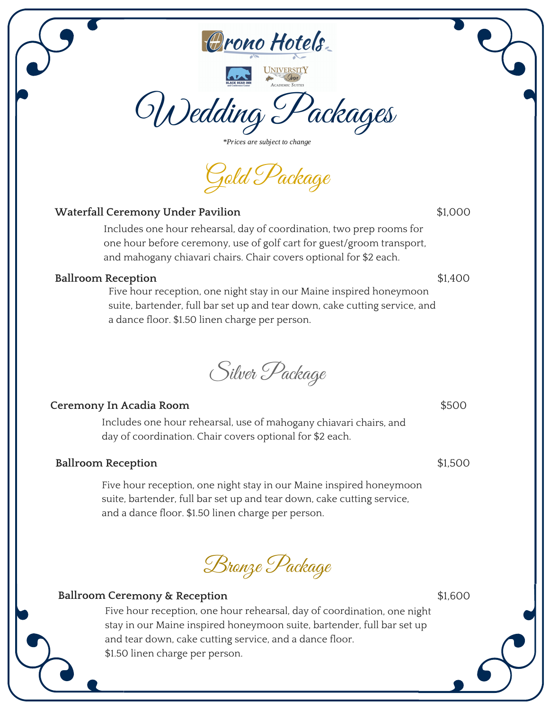



Wedding Packages

\*Prices are subject to change

Gold Package

## **Waterfall Ceremony Under Pavilion**

Includes one hour rehearsal, day of coordination, two prep rooms for one hour before ceremony, use of golf cart for guest/groom transport, and mahogany chiavari chairs. Chair covers optional for \$2 each.

#### **Ballroom Reception**

Five hour reception, one night stay in our Maine inspired honeymoon suite, bartender, full bar set up and tear down, cake cutting service, and a dance floor. \$1.50 linen charge per person.

Silver Package

#### **Ceremony In Acadia Room**

Includes one hour rehearsal, use of mahogany chiavari chairs, and day of coordination. Chair covers optional for \$2 each.

#### **Ballroom Reception**

Five hour reception, one night stay in our Maine inspired honeymoon suite, bartender, full bar set up and tear down, cake cutting service, and a dance floor. \$1.50 linen charge per person.

Bronze Package

## **Ballroom Ceremony & Reception**

Five hour reception, one hour rehearsal, day of coordination, one night stay in our Maine inspired honeymoon suite, bartender, full bar set up and tear down, cake cutting service, and <sup>a</sup> dance floor. \$1.50 linen charge per person.

\$1,600

\$1,400

\$1,000

\$500

\$1,500